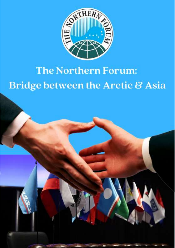

# The Northern Forum: **Bridge between the Arctic & Asia**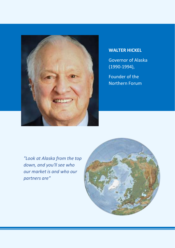

#### **WALTER HICKEL**

Governor of Alaska (1990-1994),

Founder of the Northern Forum

*"Look at Alaska from the top down, and you'll see who our market is and who our partners are"*

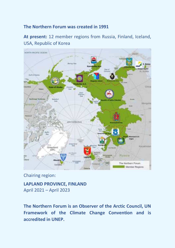#### **The Northern Forum was created in 1991**

#### **At present:** 12 member regions from Russia, Finland, Iceland, USA, Republic of Korea



Chairing region:

**LAPLAND PROVINCE, FINLAND** April 2021 – April 2023

**The Northern Forum is an Observer of the Arctic Council, UN Framework of the Climate Change Convention and is accredited in UNEP.**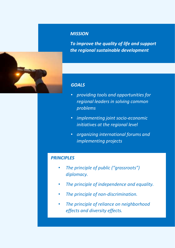

#### *MISSION*

*To improve the quality of life and support the regional sustainable development*

#### *GOALS*

- *providing tools and opportunities for regional leaders in solving common problems*
- *implementing joint socio-economic initiatives at the regional level*
- *organizing international forums and implementing projects*

#### *PRINCIPLES*

- *The principle of public ("grassroots") diplomacy.*
- *The principle of independence and equality.*
- *The principle of non-discrimination.*
- *The principle of reliance on neighborhood effects and diversity effects.*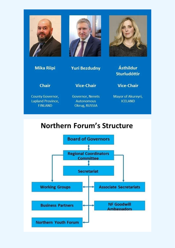





**Mika Riipi** 

**Yuri Bezdudny** 

**Chair** 

**Vice-Chair** 

County Governor, Lapland Province, **FINLAND** 

Governor, Nenets **Autonomous** Okrug, RUSSIA

**Vice-Chair** 

Ásthildur

**Sturludóttir** 

Mayor of Akureyri, **ICELAND** 

## **Northern Forum's Structure**

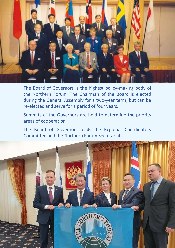

The Board of Governors is the highest policy-making body of the Northern Forum. The Chairman of the Board is elected during the General Assembly for a two-year term, but can be re-elected and serve for a period of four years.

Summits of the Governors are held to determine the priority areas of cooperation.

The Board of Governors leads the Regional Coordinators Committee and the Northern Forum Secretariat.

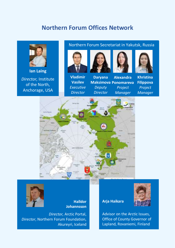## **Northern Forum Offices Network**



**Ian Laing**

*Director,* Institute of the North, Anchorage, USA

#### Northern Forum Secretariat in Yakutsk, Russia







**Daryana Maksimova Ponomareva** *Deputy Director* **Alexandra**  *Project Manager*



**Khristina Filippova** *Project Manager*





**Halldor Johannsson**

*Director,* Arctic Portal, *Director*, Northern Forum Foundation, Akureyri, Iceland

**Arja Haikara**



Advisor on the Arctic Issues, Office of County Governor of Lapland, Rovaniemi, Finland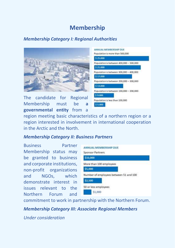## **Membership**

#### *Membership Category I: Regional Authorities*



The candidate for Regional Membership must be **a governmental entity** from a

| ANNUAL MEMBERSHIP DUE                   |
|-----------------------------------------|
| Population is more than 500,000         |
| \$25,000                                |
| Population is between 400,000 - 500,000 |
| \$ 21,000                               |
| Population is between 300,000 - 400,000 |
| \$ 17,000                               |
| Population is between 200,000 - 300,000 |
| \$13,000                                |
| Population is between 100,000 - 200,000 |
| 59.000                                  |
| Population is less than 100,000         |
| \$5,000                                 |

region meeting basic characteristics of a northern region or a region interested in involvement in international cooperation in the Arctic and the North.

#### *Membership Category II: Business Partners*

Business Partner Membership status may be granted to business and corporate institutions, non-profit organizations and NGOs, which demonstrate interest in issues relevant to the Northern Forum and



commitment to work in partnership with the Northern Forum.

*Membership Category III: Associate Regional Members*

*Under consideration*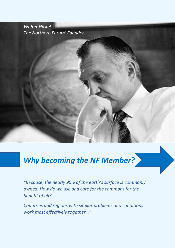*Walter Hickel, The Northern Forum' Founder*

## *Why becoming the NF Member?*

*"Because, the nearly 90% of the earth's surface is commonly owned. How do we use and care for the commons for the benefit of all?*

*Countries and regions with similar problems and conditions work most effectively together…"*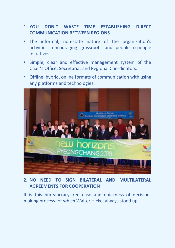#### **1. YOU DON'T WASTE TIME ESTABLISHING DIRECT COMMUNICATION BETWEEN REGIONS**

- The informal, non-state nature of the organization's activities, encouraging grassroots and people-to-people initiatives.
- Simple, clear and effective management system of the Chair's Office, Secretariat and Regional Coordinators.
- Offline, hybrid, online formats of communication with using any platforms and technologies.



#### **2. NO NEED TO SIGN BILATERAL AND MULTILATERAL AGREEMENTS FOR COOPERATION**

It is this bureaucracy-free ease and quickness of decisionmaking process for which Walter Hickel always stood up.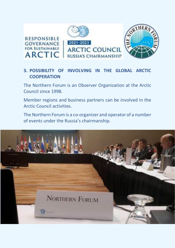

#### **3. POSSIBILITY OF INVOLVING IN THE GLOBAL ARCTIC COOPERATION**

The Northern Forum is an Observer Organization at the Arctic Council since 1998.

Member regions and business partners can be involved in the Arctic Council activities.

The Northern Forum is a co-organizer and operator of a number of events under the Russia's chairmanship.

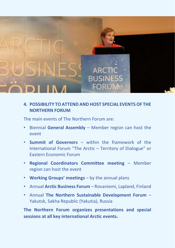

#### **4. POSSIBILITY TO ATTEND AND HOST SPECIAL EVENTS OF THE NORTHERN FORUM**

The main events of The Northern Forum are:

- Biennial **General Assembly**  Member region can host the event
- **Summit of Governors**  within the framework of the International Forum "The Arctic – Territory of Dialogue" or Eastern Economic Forum
- **Regional Coordinators Committee meeting**  Member region can host the event
- **Working Groups' meetings**  by the annual plans
- Annual **Arctic Business Forum**  Rovaniemi, Lapland, Finland
- Annual **The Northern Sustainable Development Forum**  Yakutsk, Sakha Republic (Yakutia), Russia

**The Northern Forum organizes presentations and special sessions at all key international Arctic events.**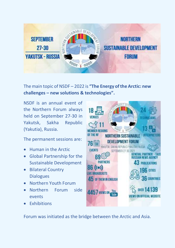

The main topic of NSDF – 2022 is **"The Energy of the Arctic: new challenges – new solutions & technologies".**

NSDF is an annual event of the Northern Forum always held on September 27-30 in Yakutsk, Sakha Republic (Yakutia), Russia.

The permanent sessions are:

- Human in the Arctic
- Global Partnership for the Sustainable Development
- Bilateral Country **Dialogues**
- Northern Youth Forum
- Northern Forum side events
- Exhibitions



Forum was initiated as the bridge between the Arctic and Asia.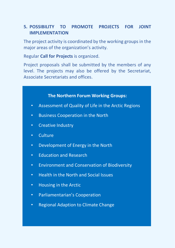#### **5. POSSIBILITY TO PROMOTE PROJECTS FOR JOINT IMPLEMENTATION**

The project activity is coordinated by the working groups in the major areas of the organization's activity.

Regular **Call for Projects** is organized.

Project proposals shall be submitted by the members of any level. The projects may also be offered by the Secretariat, Associate Secretariats and offices.

#### **The Northern Forum Working Groups:**

- Assessment of Quality of Life in the Arctic Regions
- Business Cooperation in the North
- Creative Industry
- Culture
- Development of Energy in the North
- Education and Research
- Environment and Conservation of Biodiversity
- Health in the North and Social Issues
- Housing in the Arctic
- Parliamentarian's Cooperation
- Regional Adaption to Climate Change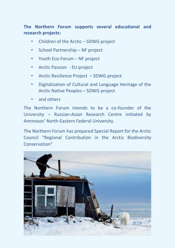**The Northern Forum supports several educational and research projects:**

- Children of the Arctic SDWG project
- School Partnership NF project
- Youth Eco-Forum NF project
- Arctic Passion EU project
- Arctic Resilience Project SDWG project
- Digitalization of Cultural and Language Heritage of the Arctic Native Peoples – SDWG project
- and others

The Northern Forum intends to be a co-founder of the University – Russian-Asian Research Centre initiated by Ammosov' North-Eastern Federal University.

The Northern Forum has prepared Special Report for the Arctic Council "Regional Contribution in the Arctic Biodiversity Conservation"

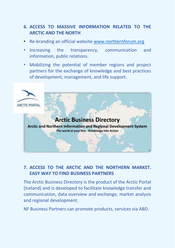#### **6. ACCESS TO MASSIVE INFORMATION RELATED TO THE ARCTIC AND THE NORTH**

- Re-branding an official website [www.northernforum.org](http://www.northernforum.org/)
- Increasing the transparency, communication and information, public relations.
- Mobilizing the potential of member regions and project partners for the exchange of knowledge and best practices of development, management, and life support.



#### **7. ACCESS TO THE ARCTIC AND THE NORTHERN MARKET. EASY WAY TO FIND BUSINESS PARTNERS**

The Arctic Business Directory is the product of the Arctic Portal (Iceland) and is developed to facilitate knowledge transfer and communication, data overview and exchange, market analysis and regional development.

NF Business Partners can promote products, services via ABD.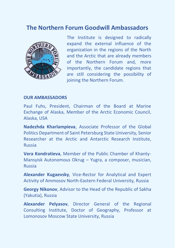## **The Northern Forum Goodwill Ambassadors**



The Institute is designed to radically expand the external influence of the organization in the regions of the North and the Arctic that are already members of the Northern Forum and, more importantly, the candidate regions that are still considering the possibility of joining the Northern Forum.

#### **OUR AMBASSADORS**

Paul Fuhs, President, Chairman of the Board at Marine Exchange of Alaska, Member of the Arctic Economic Council, Alaska, USA

**Nadezhda Kharlampieva**, Associate Professor of the Global Politics Department of Saint Petersburg State University, Senior Researcher at the Arctic and Antarctic Research Institute, Russia

**Vera Kondratieva**, Member of the Public Chamber of Khanty-Mansyisk Autonomous Okrug – Yugra, a composer, musician, Russia

**Alexander Kugaevsky**, Vice-Rector for Analytical and Expert Activity of Ammosov North-Eastern Federal University, Russia

**Georgy Nikonov**, Advisor to the Head of the Republic of Sakha (Yakutia), Russia

**Alexander Pelyasov**, Director General of the Regional Consulting Institute, Doctor of Geography, Professor at Lomonosov Moscow State University, Russia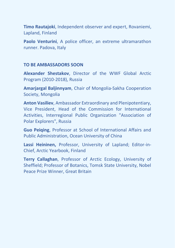**Timo Rautajoki**, Independent observer and expert, Rovaniemi, Lapland, Finland

**Paolo Venturini**, A police officer, an extreme ultramarathon runner. Padova, Italy

#### **TO BE AMBASSADORS SOON**

**Alexander Shestakov**, Director of the WWF Global Arctic Program (2010-2018), Russia

**Amarjargal Baljinnyam**, Chair of Mongolia-Sakha Cooperation Society, Mongolia

**Anton Vasiliev**, Ambassador Extraordinary and Plenipotentiary, Vice President, Head of the Commission for International Activities, Interregional Public Organization "Association of Polar Explorers", Russia

**Guo Peiqing**, Professor at School of International Affairs and Public Administration, Ocean University of China

**Lassi Heininen,** Professor, University of Lapland; Editor-in-Chief, Arctic Yearbook, Finland

**Terry Callaghan**, Professor of Arctic Ecology, University of Sheffield; Professor of Botanics, Tomsk State University, Nobel Peace Prize Winner, Great Britain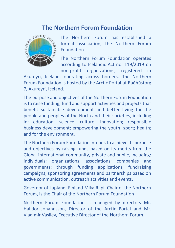## **The Northern Forum Foundation**



The Northern Forum has established a formal association, the Northern Forum Foundation.

The Northern Forum Foundation operates according to Icelandic Act no. 119/2019 on non-profit organizations, registered in

Akureyri, Iceland, operating across borders. The Northern Forum Foundation is hosted by the Arctic Portal at Ráðhústorg 7, Akureyri, Iceland.

The purpose and objectives of the Northern Forum Foundation is to raise funding, fund and support activities and projects that benefit sustainable development and better living for the people and peoples of the North and their societies, including in: education; science; culture; innovation; responsible business development; empowering the youth; sport; health; and for the environment.

The Northern Forum Foundation intends to achieve its purpose and objectives by raising funds based on its merits from the Global international community, private and public, including: individuals; organizations; associations; companies and governments; through funding applications, fundraising campaigns, sponsoring agreements and partnerships based on active communication, outreach activities and events.

Governor of Lapland, Finland Mika Riipi, Chair of the Northern Forum, is the Chair of the Northern Forum Foundation

Northern Forum Foundation is managed by directors Mr. Halldor Johannsson, Director of the Arctic Portal and Mr. Vladimir Vasilev, Executive Director of the Northern Forum.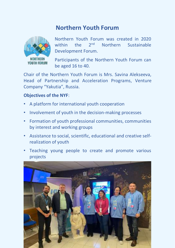## **Northern Youth Forum**



Northern Youth Forum was created in 2020 within the 2<sup>nd</sup> Northern Sustainable Development Forum.

Participants of the Northern Youth Forum can be aged 16 to 40.

Chair of the Northern Youth Forum is Mrs. Savina Alekseeva, Head of Partnership and Acceleration Programs, Venture Company "Yakutia", Russia.

#### **Objectives of the NYF**:

- A platform for international youth cooperation
- Involvement of youth in the decision-making processes
- Formation of youth professional communities, communities by interest and working groups
- Assistance to social, scientific, educational and creative selfrealization of youth
- Teaching young people to create and promote various projects

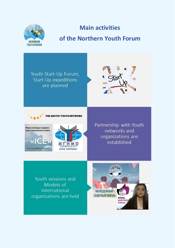

 $\overline{\mathbf{K}}$ 

## **Main activities**

## **of the Northern Youth Forum**

Youth Start-Up Forum, Start-Up expeditions are planned





**THMO HUBEPCHTE КЛУБ "АРКТИКА"** 

Partnership with Youth networks and organizations are established

Youth sessions and Models of international organizations are held

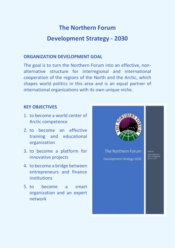## **The Northern Forum**

## **Development Strategy - 2030**

#### **ORGANIZATION DEVELOPMENT GOAL**

The goal is to turn the Northern Forum into an effective, nonalternative structure for interregional and international cooperation of the regions of the North and the Arctic, which shapes world politics in this area and is an equal partner of international organizations with its own unique niche.

#### **KEY OBJECTIVES**

- 1. to become a world center of Arctic competence
- 2. to become an effective training and educational organization
- 3. to become a platform for innovative projects
- 4. to become a bridge between entrepreneurs and finance institutions
- 5. to become a smart organization and an expert network

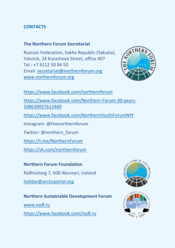#### **CONTACTS**

#### **The Northern Forum Secretariat**

Russian Federation, Sakha Republic (Yakutia), Yakutsk, 24 Kurashova Street, office 407 Tel.: +7 4112 50 84 50 Email: [secretariat@northernforum.org](mailto:secretariat@northernforum.org) [www.northernforum.org](http://www.northernforum.org/)



<https://www.facebook.com/northernforum>

[https://www.facebook.com/Northern-Forum-30-years-](https://www.facebook.com/Northern-Forum-30-years-108639057612469)[108639057612469](https://www.facebook.com/Northern-Forum-30-years-108639057612469)

<https://www.facebook.com/NorthernYouthForumNYF>

Instagram: @thenorthernforum

Twitter: @northern\_forum

<https://t.me/NorthernForum>

<https://vk.com/northernforum>

#### **Northern Forum Foundation**

Ráðhústorg 7, 600 Akureyri, Iceland

[halldor@arcticportal.org](mailto:halldor@arcticportal.org)

#### **Northern Sustainable Development Forum**

[www.nsdf.ru](http://www.nsdf.ru/) <https://www.facebook.com/nsdf.ru>